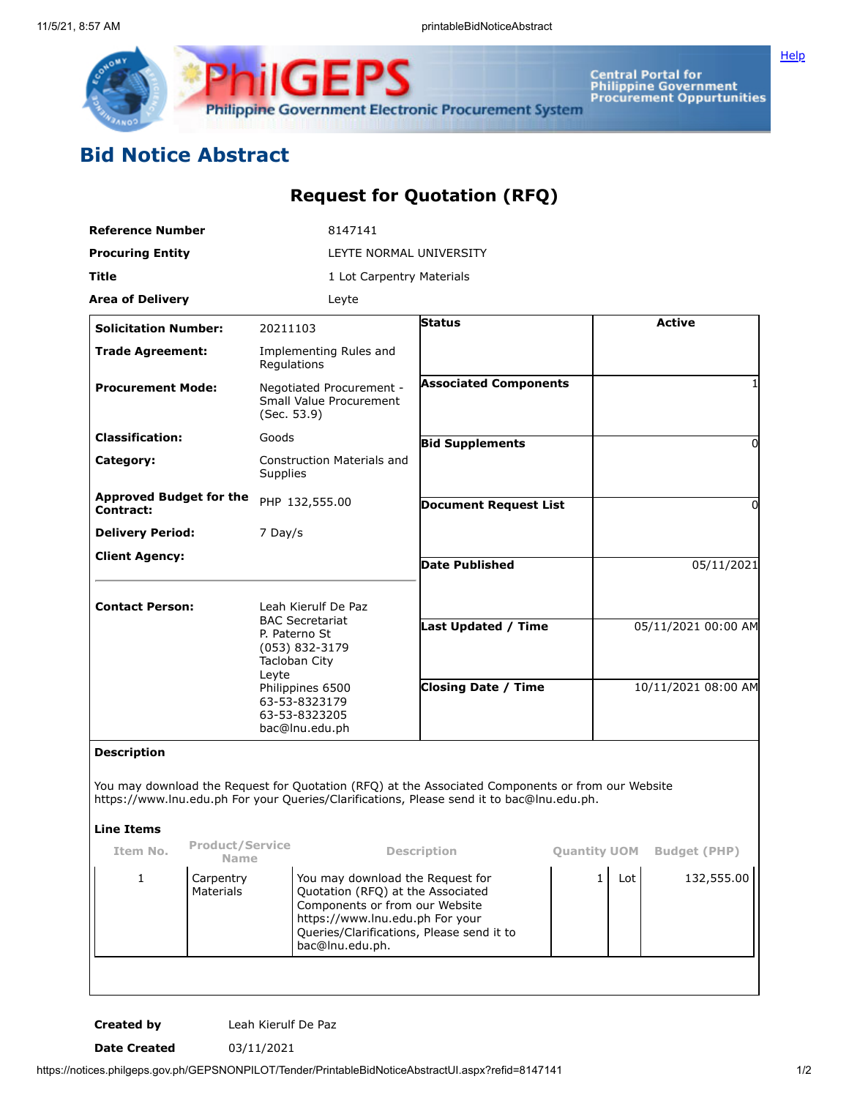

**Central Portal for<br>Philippine Government<br>Procurement Oppurtunities** 

**[Help](javascript:void(window.open()** 

## **Bid Notice Abstract**

## **Request for Quotation (RFQ)**

|                                             |                                                                                                                                                                                 | Leyte                                          |                                                                                                                                                                                                                                                                                                                                                                                               |                                                                                                                                                                                                                                             |                                                                                                                                         |                                                                                                                                 |
|---------------------------------------------|---------------------------------------------------------------------------------------------------------------------------------------------------------------------------------|------------------------------------------------|-----------------------------------------------------------------------------------------------------------------------------------------------------------------------------------------------------------------------------------------------------------------------------------------------------------------------------------------------------------------------------------------------|---------------------------------------------------------------------------------------------------------------------------------------------------------------------------------------------------------------------------------------------|-----------------------------------------------------------------------------------------------------------------------------------------|---------------------------------------------------------------------------------------------------------------------------------|
|                                             |                                                                                                                                                                                 |                                                | <b>Status</b>                                                                                                                                                                                                                                                                                                                                                                                 |                                                                                                                                                                                                                                             |                                                                                                                                         | <b>Active</b>                                                                                                                   |
|                                             |                                                                                                                                                                                 |                                                |                                                                                                                                                                                                                                                                                                                                                                                               |                                                                                                                                                                                                                                             |                                                                                                                                         |                                                                                                                                 |
| <b>Procurement Mode:</b>                    |                                                                                                                                                                                 |                                                | <b>Associated Components</b>                                                                                                                                                                                                                                                                                                                                                                  |                                                                                                                                                                                                                                             |                                                                                                                                         |                                                                                                                                 |
| <b>Classification:</b><br>Goods             |                                                                                                                                                                                 |                                                |                                                                                                                                                                                                                                                                                                                                                                                               |                                                                                                                                                                                                                                             |                                                                                                                                         | $\Omega$                                                                                                                        |
|                                             |                                                                                                                                                                                 |                                                |                                                                                                                                                                                                                                                                                                                                                                                               |                                                                                                                                                                                                                                             |                                                                                                                                         |                                                                                                                                 |
| <b>Approved Budget for the</b><br>Contract: |                                                                                                                                                                                 |                                                | <b>Document Request List</b>                                                                                                                                                                                                                                                                                                                                                                  |                                                                                                                                                                                                                                             |                                                                                                                                         | 0                                                                                                                               |
|                                             |                                                                                                                                                                                 |                                                |                                                                                                                                                                                                                                                                                                                                                                                               |                                                                                                                                                                                                                                             |                                                                                                                                         |                                                                                                                                 |
| <b>Client Agency:</b>                       |                                                                                                                                                                                 |                                                | <b>Date Published</b>                                                                                                                                                                                                                                                                                                                                                                         |                                                                                                                                                                                                                                             |                                                                                                                                         | 05/11/2021                                                                                                                      |
|                                             |                                                                                                                                                                                 |                                                |                                                                                                                                                                                                                                                                                                                                                                                               |                                                                                                                                                                                                                                             |                                                                                                                                         |                                                                                                                                 |
| <b>Contact Person:</b>                      |                                                                                                                                                                                 |                                                |                                                                                                                                                                                                                                                                                                                                                                                               |                                                                                                                                                                                                                                             |                                                                                                                                         |                                                                                                                                 |
|                                             |                                                                                                                                                                                 |                                                |                                                                                                                                                                                                                                                                                                                                                                                               |                                                                                                                                                                                                                                             |                                                                                                                                         | 05/11/2021 00:00 AM                                                                                                             |
|                                             |                                                                                                                                                                                 |                                                | <b>Closing Date / Time</b>                                                                                                                                                                                                                                                                                                                                                                    |                                                                                                                                                                                                                                             | 10/11/2021 08:00 AM                                                                                                                     |                                                                                                                                 |
|                                             |                                                                                                                                                                                 |                                                |                                                                                                                                                                                                                                                                                                                                                                                               |                                                                                                                                                                                                                                             |                                                                                                                                         |                                                                                                                                 |
|                                             |                                                                                                                                                                                 |                                                |                                                                                                                                                                                                                                                                                                                                                                                               |                                                                                                                                                                                                                                             |                                                                                                                                         |                                                                                                                                 |
|                                             |                                                                                                                                                                                 |                                                |                                                                                                                                                                                                                                                                                                                                                                                               |                                                                                                                                                                                                                                             |                                                                                                                                         |                                                                                                                                 |
|                                             |                                                                                                                                                                                 |                                                |                                                                                                                                                                                                                                                                                                                                                                                               |                                                                                                                                                                                                                                             |                                                                                                                                         | <b>Budget (PHP)</b>                                                                                                             |
| Materials                                   | bac@lnu.edu.ph.                                                                                                                                                                 |                                                | Queries/Clarifications, Please send it to                                                                                                                                                                                                                                                                                                                                                     |                                                                                                                                                                                                                                             |                                                                                                                                         | 132,555.00                                                                                                                      |
|                                             | <b>Reference Number</b><br><b>Procuring Entity</b><br><b>Area of Delivery</b><br><b>Solicitation Number:</b><br><b>Trade Agreement:</b><br><b>Delivery Period:</b><br>Carpentry | Leyte<br><b>Product/Service</b><br><b>Name</b> | 8147141<br>20211103<br>Implementing Rules and<br>Regulations<br>Negotiated Procurement -<br>Small Value Procurement<br>(Sec. 53.9)<br><b>Construction Materials and</b><br>Supplies<br>PHP 132,555.00<br>7 Day/s<br>Leah Kierulf De Paz<br><b>BAC Secretariat</b><br>P. Paterno St<br>(053) 832-3179<br>Tacloban City<br>Philippines 6500<br>63-53-8323179<br>63-53-8323205<br>bac@lnu.edu.ph | LEYTE NORMAL UNIVERSITY<br>1 Lot Carpentry Materials<br><b>Bid Supplements</b><br>Description<br>You may download the Request for<br>Quotation (RFQ) at the Associated<br>Components or from our Website<br>https://www.lnu.edu.ph For your | <b>Last Updated / Time</b><br>https://www.lnu.edu.ph For your Queries/Clarifications, Please send it to bac@lnu.edu.ph.<br>$\mathbf{1}$ | You may download the Request for Quotation (RFQ) at the Associated Components or from our Website<br><b>Quantity UOM</b><br>Lot |

**Created by** Leah Kierulf De Paz

**Date Created** 03/11/2021

https://notices.philgeps.gov.ph/GEPSNONPILOT/Tender/PrintableBidNoticeAbstractUI.aspx?refid=8147141